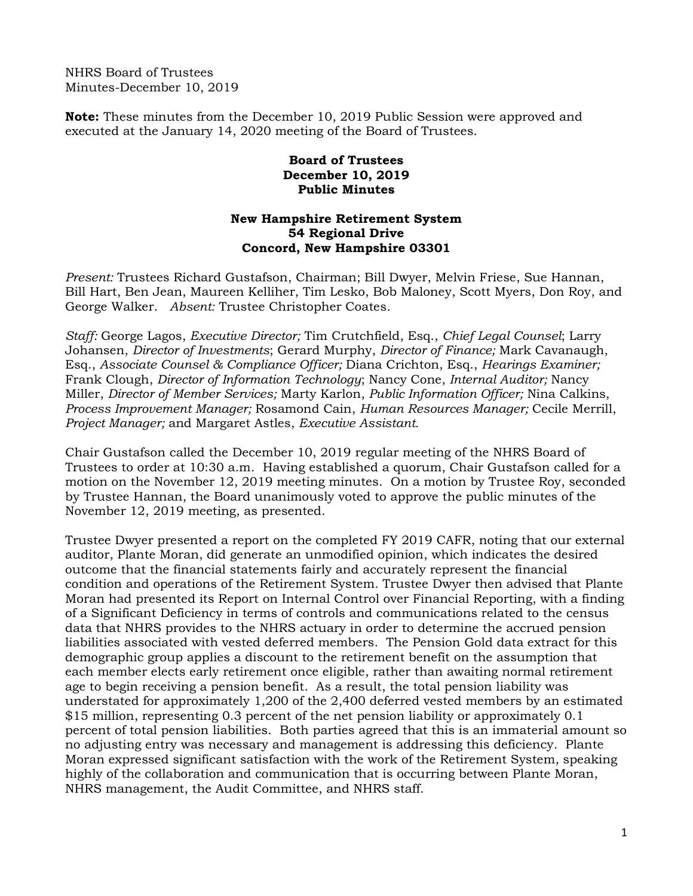NHRS Board of Trustees Minutes-December 10, 2019

**Note:** These minutes from the December 10, 2019 Public Session were approved and executed at the January 14, 2020 meeting of the Board of Trustees.

## **Board of Trustees December 10, 2019 Public Minutes**

## **New Hampshire Retirement System 54 Regional Drive Concord, New Hampshire 03301**

*Present:* Trustees Richard Gustafson, Chairman; Bill Dwyer, Melvin Friese, Sue Hannan, Bill Hart, Ben Jean, Maureen Kelliher, Tim Lesko, Bob Maloney, Scott Myers, Don Roy, and George Walker. *Absent:* Trustee Christopher Coates.

*Staff:* George Lagos, *Executive Director;* Tim Crutchfield, Esq., *Chief Legal Counsel*; Larry Johansen, *Director of Investments*; Gerard Murphy, *Director of Finance;* Mark Cavanaugh, Esq., *Associate Counsel & Compliance Officer;* Diana Crichton, Esq., *Hearings Examiner;* Frank Clough, *Director of Information Technology*; Nancy Cone, *Internal Auditor;* Nancy Miller, *Director of Member Services;* Marty Karlon, *Public Information Officer;* Nina Calkins, *Process Improvement Manager;* Rosamond Cain, *Human Resources Manager;* Cecile Merrill, *Project Manager;* and Margaret Astles, *Executive Assistant.* 

Chair Gustafson called the December 10, 2019 regular meeting of the NHRS Board of Trustees to order at 10:30 a.m. Having established a quorum, Chair Gustafson called for a motion on the November 12, 2019 meeting minutes. On a motion by Trustee Roy, seconded by Trustee Hannan, the Board unanimously voted to approve the public minutes of the November 12, 2019 meeting, as presented.

Trustee Dwyer presented a report on the completed FY 2019 CAFR, noting that our external auditor, Plante Moran, did generate an unmodified opinion, which indicates the desired outcome that the financial statements fairly and accurately represent the financial condition and operations of the Retirement System. Trustee Dwyer then advised that Plante Moran had presented its Report on Internal Control over Financial Reporting, with a finding of a Significant Deficiency in terms of controls and communications related to the census data that NHRS provides to the NHRS actuary in order to determine the accrued pension liabilities associated with vested deferred members. The Pension Gold data extract for this demographic group applies a discount to the retirement benefit on the assumption that each member elects early retirement once eligible, rather than awaiting normal retirement age to begin receiving a pension benefit. As a result, the total pension liability was understated for approximately 1,200 of the 2,400 deferred vested members by an estimated \$15 million, representing 0.3 percent of the net pension liability or approximately 0.1 percent of total pension liabilities. Both parties agreed that this is an immaterial amount so no adjusting entry was necessary and management is addressing this deficiency. Plante Moran expressed significant satisfaction with the work of the Retirement System, speaking highly of the collaboration and communication that is occurring between Plante Moran, NHRS management, the Audit Committee, and NHRS staff.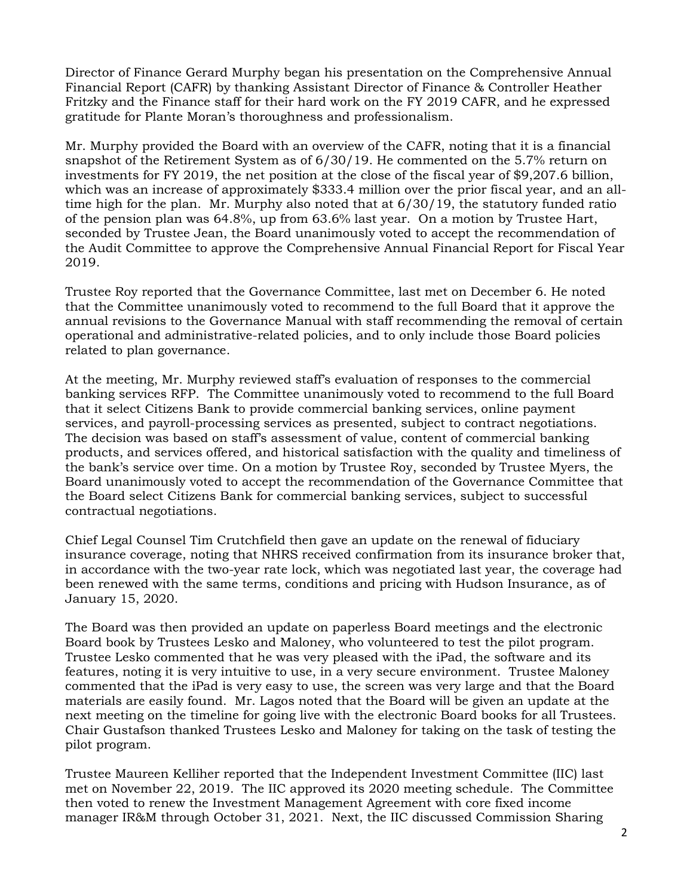Director of Finance Gerard Murphy began his presentation on the Comprehensive Annual Financial Report (CAFR) by thanking Assistant Director of Finance & Controller Heather Fritzky and the Finance staff for their hard work on the FY 2019 CAFR, and he expressed gratitude for Plante Moran's thoroughness and professionalism.

Mr. Murphy provided the Board with an overview of the CAFR, noting that it is a financial snapshot of the Retirement System as of 6/30/19. He commented on the 5.7% return on investments for FY 2019, the net position at the close of the fiscal year of \$9,207.6 billion, which was an increase of approximately \$333.4 million over the prior fiscal year, and an alltime high for the plan. Mr. Murphy also noted that at 6/30/19, the statutory funded ratio of the pension plan was 64.8%, up from 63.6% last year. On a motion by Trustee Hart, seconded by Trustee Jean, the Board unanimously voted to accept the recommendation of the Audit Committee to approve the Comprehensive Annual Financial Report for Fiscal Year 2019.

Trustee Roy reported that the Governance Committee, last met on December 6. He noted that the Committee unanimously voted to recommend to the full Board that it approve the annual revisions to the Governance Manual with staff recommending the removal of certain operational and administrative-related policies, and to only include those Board policies related to plan governance.

At the meeting, Mr. Murphy reviewed staff's evaluation of responses to the commercial banking services RFP. The Committee unanimously voted to recommend to the full Board that it select Citizens Bank to provide commercial banking services, online payment services, and payroll-processing services as presented, subject to contract negotiations. The decision was based on staff's assessment of value, content of commercial banking products, and services offered, and historical satisfaction with the quality and timeliness of the bank's service over time. On a motion by Trustee Roy, seconded by Trustee Myers, the Board unanimously voted to accept the recommendation of the Governance Committee that the Board select Citizens Bank for commercial banking services, subject to successful contractual negotiations.

Chief Legal Counsel Tim Crutchfield then gave an update on the renewal of fiduciary insurance coverage, noting that NHRS received confirmation from its insurance broker that, in accordance with the two-year rate lock, which was negotiated last year, the coverage had been renewed with the same terms, conditions and pricing with Hudson Insurance, as of January 15, 2020.

The Board was then provided an update on paperless Board meetings and the electronic Board book by Trustees Lesko and Maloney, who volunteered to test the pilot program. Trustee Lesko commented that he was very pleased with the iPad, the software and its features, noting it is very intuitive to use, in a very secure environment. Trustee Maloney commented that the iPad is very easy to use, the screen was very large and that the Board materials are easily found. Mr. Lagos noted that the Board will be given an update at the next meeting on the timeline for going live with the electronic Board books for all Trustees. Chair Gustafson thanked Trustees Lesko and Maloney for taking on the task of testing the pilot program.

Trustee Maureen Kelliher reported that the Independent Investment Committee (IIC) last met on November 22, 2019. The IIC approved its 2020 meeting schedule. The Committee then voted to renew the Investment Management Agreement with core fixed income manager IR&M through October 31, 2021. Next, the IIC discussed Commission Sharing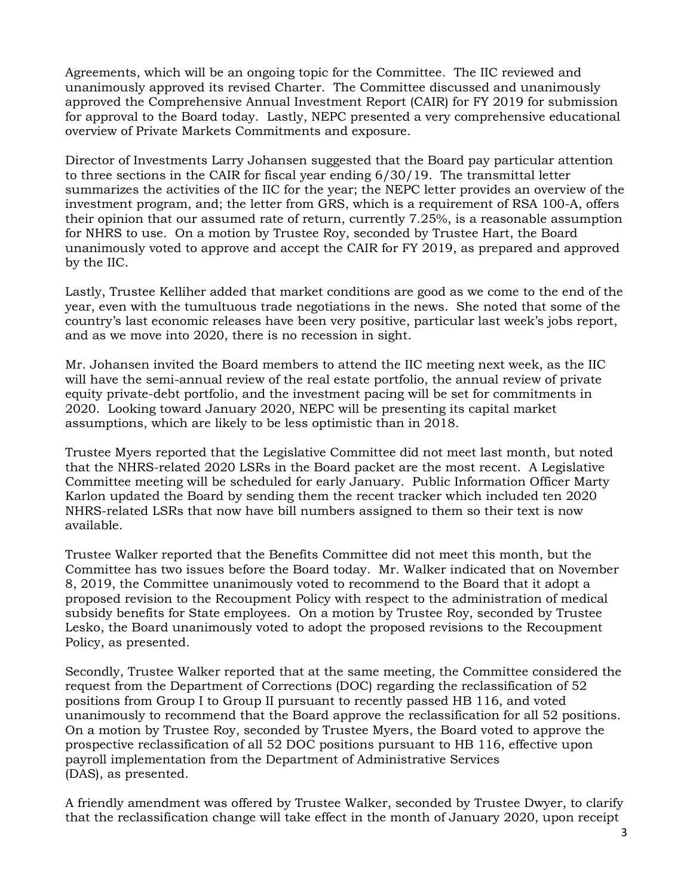Agreements, which will be an ongoing topic for the Committee. The IIC reviewed and unanimously approved its revised Charter. The Committee discussed and unanimously approved the Comprehensive Annual Investment Report (CAIR) for FY 2019 for submission for approval to the Board today. Lastly, NEPC presented a very comprehensive educational overview of Private Markets Commitments and exposure.

Director of Investments Larry Johansen suggested that the Board pay particular attention to three sections in the CAIR for fiscal year ending 6/30/19. The transmittal letter summarizes the activities of the IIC for the year; the NEPC letter provides an overview of the investment program, and; the letter from GRS, which is a requirement of RSA 100-A, offers their opinion that our assumed rate of return, currently 7.25%, is a reasonable assumption for NHRS to use. On a motion by Trustee Roy, seconded by Trustee Hart, the Board unanimously voted to approve and accept the CAIR for FY 2019, as prepared and approved by the IIC.

Lastly, Trustee Kelliher added that market conditions are good as we come to the end of the year, even with the tumultuous trade negotiations in the news. She noted that some of the country's last economic releases have been very positive, particular last week's jobs report, and as we move into 2020, there is no recession in sight.

Mr. Johansen invited the Board members to attend the IIC meeting next week, as the IIC will have the semi-annual review of the real estate portfolio, the annual review of private equity private-debt portfolio, and the investment pacing will be set for commitments in 2020. Looking toward January 2020, NEPC will be presenting its capital market assumptions, which are likely to be less optimistic than in 2018.

Trustee Myers reported that the Legislative Committee did not meet last month, but noted that the NHRS-related 2020 LSRs in the Board packet are the most recent. A Legislative Committee meeting will be scheduled for early January. Public Information Officer Marty Karlon updated the Board by sending them the recent tracker which included ten 2020 NHRS-related LSRs that now have bill numbers assigned to them so their text is now available.

Trustee Walker reported that the Benefits Committee did not meet this month, but the Committee has two issues before the Board today. Mr. Walker indicated that on November 8, 2019, the Committee unanimously voted to recommend to the Board that it adopt a proposed revision to the Recoupment Policy with respect to the administration of medical subsidy benefits for State employees. On a motion by Trustee Roy, seconded by Trustee Lesko, the Board unanimously voted to adopt the proposed revisions to the Recoupment Policy, as presented.

Secondly, Trustee Walker reported that at the same meeting, the Committee considered the request from the Department of Corrections (DOC) regarding the reclassification of 52 positions from Group I to Group II pursuant to recently passed HB 116, and voted unanimously to recommend that the Board approve the reclassification for all 52 positions. On a motion by Trustee Roy, seconded by Trustee Myers, the Board voted to approve the prospective reclassification of all 52 DOC positions pursuant to HB 116, effective upon payroll implementation from the Department of Administrative Services (DAS), as presented.

A friendly amendment was offered by Trustee Walker, seconded by Trustee Dwyer, to clarify that the reclassification change will take effect in the month of January 2020, upon receipt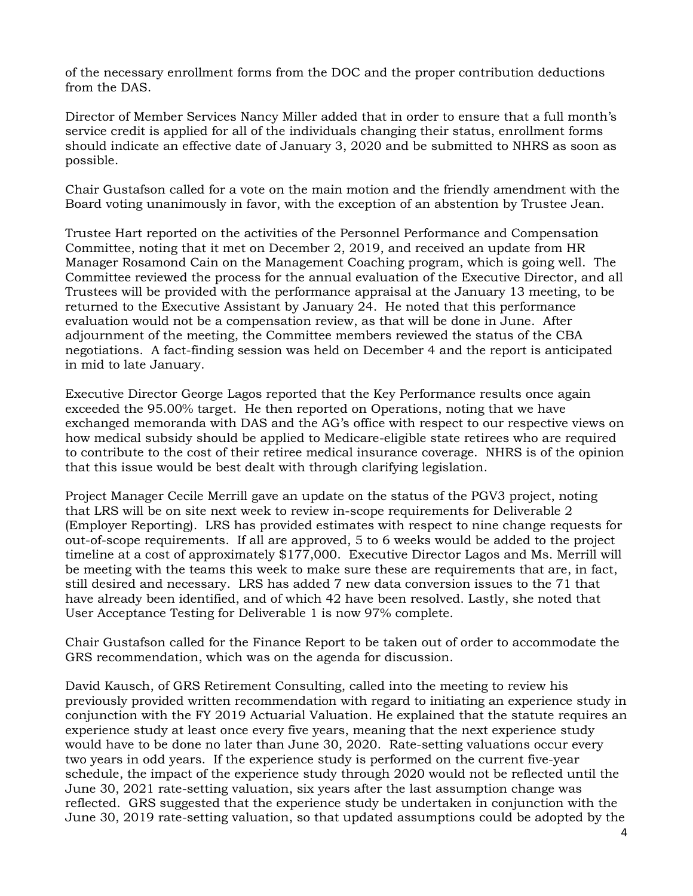of the necessary enrollment forms from the DOC and the proper contribution deductions from the DAS.

Director of Member Services Nancy Miller added that in order to ensure that a full month's service credit is applied for all of the individuals changing their status, enrollment forms should indicate an effective date of January 3, 2020 and be submitted to NHRS as soon as possible.

Chair Gustafson called for a vote on the main motion and the friendly amendment with the Board voting unanimously in favor, with the exception of an abstention by Trustee Jean.

Trustee Hart reported on the activities of the Personnel Performance and Compensation Committee, noting that it met on December 2, 2019, and received an update from HR Manager Rosamond Cain on the Management Coaching program, which is going well. The Committee reviewed the process for the annual evaluation of the Executive Director, and all Trustees will be provided with the performance appraisal at the January 13 meeting, to be returned to the Executive Assistant by January 24. He noted that this performance evaluation would not be a compensation review, as that will be done in June. After adjournment of the meeting, the Committee members reviewed the status of the CBA negotiations. A fact-finding session was held on December 4 and the report is anticipated in mid to late January.

Executive Director George Lagos reported that the Key Performance results once again exceeded the 95.00% target. He then reported on Operations, noting that we have exchanged memoranda with DAS and the AG's office with respect to our respective views on how medical subsidy should be applied to Medicare-eligible state retirees who are required to contribute to the cost of their retiree medical insurance coverage. NHRS is of the opinion that this issue would be best dealt with through clarifying legislation.

Project Manager Cecile Merrill gave an update on the status of the PGV3 project, noting that LRS will be on site next week to review in-scope requirements for Deliverable 2 (Employer Reporting). LRS has provided estimates with respect to nine change requests for out-of-scope requirements. If all are approved, 5 to 6 weeks would be added to the project timeline at a cost of approximately \$177,000. Executive Director Lagos and Ms. Merrill will be meeting with the teams this week to make sure these are requirements that are, in fact, still desired and necessary. LRS has added 7 new data conversion issues to the 71 that have already been identified, and of which 42 have been resolved. Lastly, she noted that User Acceptance Testing for Deliverable 1 is now 97% complete.

Chair Gustafson called for the Finance Report to be taken out of order to accommodate the GRS recommendation, which was on the agenda for discussion.

David Kausch, of GRS Retirement Consulting, called into the meeting to review his previously provided written recommendation with regard to initiating an experience study in conjunction with the FY 2019 Actuarial Valuation. He explained that the statute requires an experience study at least once every five years, meaning that the next experience study would have to be done no later than June 30, 2020. Rate-setting valuations occur every two years in odd years. If the experience study is performed on the current five-year schedule, the impact of the experience study through 2020 would not be reflected until the June 30, 2021 rate-setting valuation, six years after the last assumption change was reflected. GRS suggested that the experience study be undertaken in conjunction with the June 30, 2019 rate-setting valuation, so that updated assumptions could be adopted by the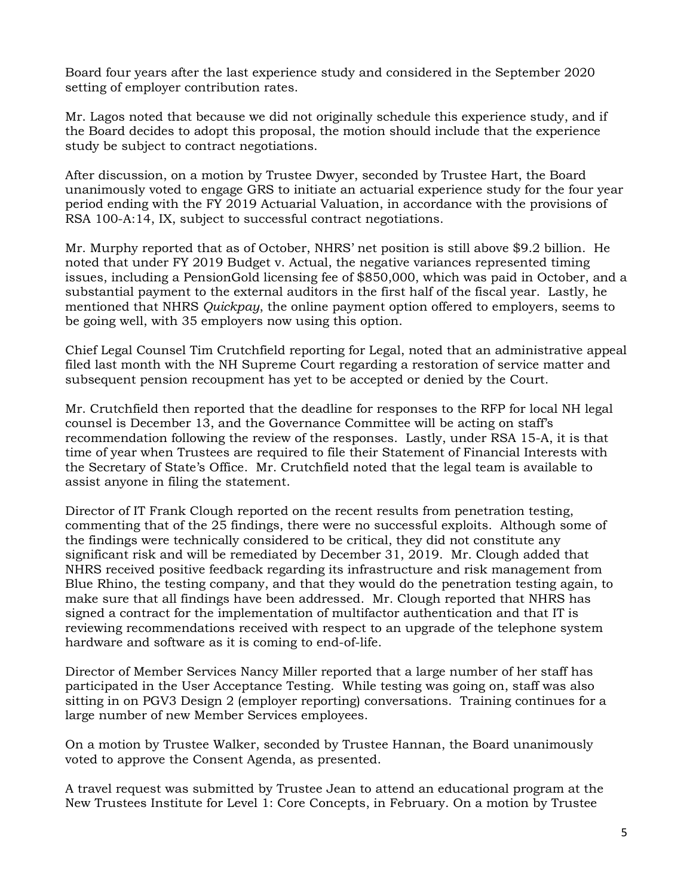Board four years after the last experience study and considered in the September 2020 setting of employer contribution rates.

Mr. Lagos noted that because we did not originally schedule this experience study, and if the Board decides to adopt this proposal, the motion should include that the experience study be subject to contract negotiations.

After discussion, on a motion by Trustee Dwyer, seconded by Trustee Hart, the Board unanimously voted to engage GRS to initiate an actuarial experience study for the four year period ending with the FY 2019 Actuarial Valuation, in accordance with the provisions of RSA 100-A:14, IX, subject to successful contract negotiations.

Mr. Murphy reported that as of October, NHRS' net position is still above \$9.2 billion. He noted that under FY 2019 Budget v. Actual, the negative variances represented timing issues, including a PensionGold licensing fee of \$850,000, which was paid in October, and a substantial payment to the external auditors in the first half of the fiscal year. Lastly, he mentioned that NHRS *Quickpay*, the online payment option offered to employers, seems to be going well, with 35 employers now using this option.

Chief Legal Counsel Tim Crutchfield reporting for Legal, noted that an administrative appeal filed last month with the NH Supreme Court regarding a restoration of service matter and subsequent pension recoupment has yet to be accepted or denied by the Court.

Mr. Crutchfield then reported that the deadline for responses to the RFP for local NH legal counsel is December 13, and the Governance Committee will be acting on staff's recommendation following the review of the responses. Lastly, under RSA 15-A, it is that time of year when Trustees are required to file their Statement of Financial Interests with the Secretary of State's Office. Mr. Crutchfield noted that the legal team is available to assist anyone in filing the statement.

Director of IT Frank Clough reported on the recent results from penetration testing, commenting that of the 25 findings, there were no successful exploits. Although some of the findings were technically considered to be critical, they did not constitute any significant risk and will be remediated by December 31, 2019. Mr. Clough added that NHRS received positive feedback regarding its infrastructure and risk management from Blue Rhino, the testing company, and that they would do the penetration testing again, to make sure that all findings have been addressed. Mr. Clough reported that NHRS has signed a contract for the implementation of multifactor authentication and that IT is reviewing recommendations received with respect to an upgrade of the telephone system hardware and software as it is coming to end-of-life.

Director of Member Services Nancy Miller reported that a large number of her staff has participated in the User Acceptance Testing. While testing was going on, staff was also sitting in on PGV3 Design 2 (employer reporting) conversations. Training continues for a large number of new Member Services employees.

On a motion by Trustee Walker, seconded by Trustee Hannan, the Board unanimously voted to approve the Consent Agenda, as presented.

A travel request was submitted by Trustee Jean to attend an educational program at the New Trustees Institute for Level 1: Core Concepts, in February. On a motion by Trustee